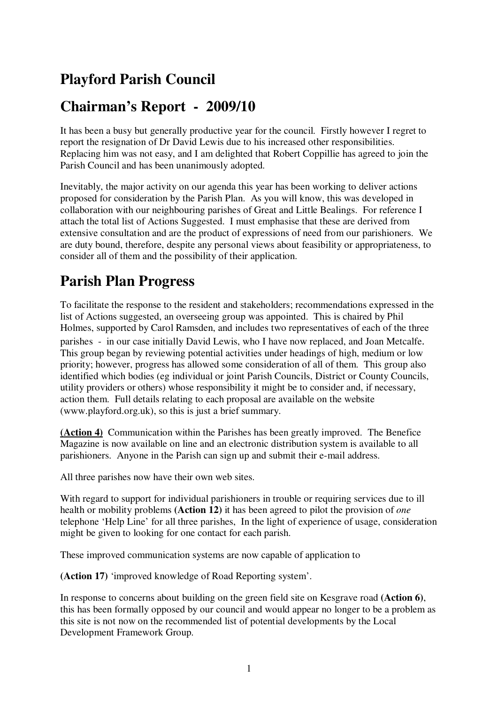### **Playford Parish Council**

#### **Chairman's Report - 2009/10**

It has been a busy but generally productive year for the council. Firstly however I regret to report the resignation of Dr David Lewis due to his increased other responsibilities. Replacing him was not easy, and I am delighted that Robert Coppillie has agreed to join the Parish Council and has been unanimously adopted.

Inevitably, the major activity on our agenda this year has been working to deliver actions proposed for consideration by the Parish Plan. As you will know, this was developed in collaboration with our neighbouring parishes of Great and Little Bealings. For reference I attach the total list of Actions Suggested. I must emphasise that these are derived from extensive consultation and are the product of expressions of need from our parishioners. We are duty bound, therefore, despite any personal views about feasibility or appropriateness, to consider all of them and the possibility of their application.

#### **Parish Plan Progress**

To facilitate the response to the resident and stakeholders; recommendations expressed in the list of Actions suggested, an overseeing group was appointed. This is chaired by Phil Holmes, supported by Carol Ramsden, and includes two representatives of each of the three parishes - in our case initially David Lewis, who I have now replaced, and Joan Metcalfe. This group began by reviewing potential activities under headings of high, medium or low priority; however, progress has allowed some consideration of all of them. This group also identified which bodies (eg individual or joint Parish Councils, District or County Councils, utility providers or others) whose responsibility it might be to consider and, if necessary, action them. Full details relating to each proposal are available on the website (www.playford.org.uk), so this is just a brief summary.

**(Action 4)** Communication within the Parishes has been greatly improved. The Benefice Magazine is now available on line and an electronic distribution system is available to all parishioners. Anyone in the Parish can sign up and submit their e-mail address.

All three parishes now have their own web sites.

With regard to support for individual parishioners in trouble or requiring services due to ill health or mobility problems **(Action 12)** it has been agreed to pilot the provision of *one* telephone 'Help Line' for all three parishes, In the light of experience of usage, consideration might be given to looking for one contact for each parish.

These improved communication systems are now capable of application to

**(Action 17)** 'improved knowledge of Road Reporting system'.

In response to concerns about building on the green field site on Kesgrave road **(Action 6)**, this has been formally opposed by our council and would appear no longer to be a problem as this site is not now on the recommended list of potential developments by the Local Development Framework Group.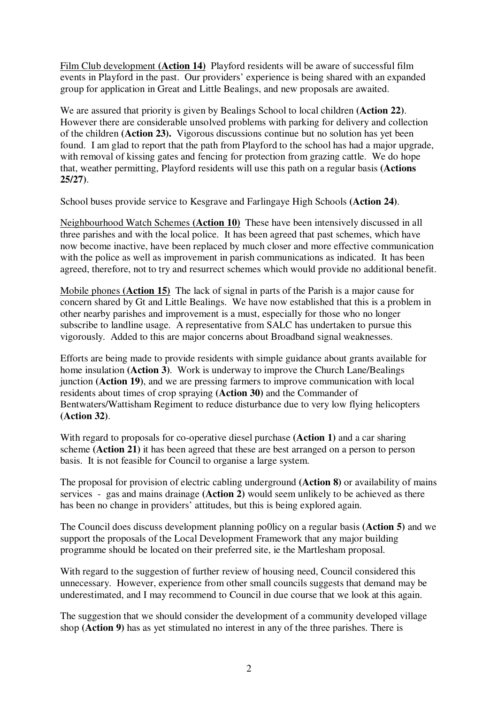Film Club development **(Action 14)** Playford residents will be aware of successful film events in Playford in the past. Our providers' experience is being shared with an expanded group for application in Great and Little Bealings, and new proposals are awaited.

We are assured that priority is given by Bealings School to local children **(Action 22)**. However there are considerable unsolved problems with parking for delivery and collection of the children **(Action 23).** Vigorous discussions continue but no solution has yet been found. I am glad to report that the path from Playford to the school has had a major upgrade, with removal of kissing gates and fencing for protection from grazing cattle. We do hope that, weather permitting, Playford residents will use this path on a regular basis **(Actions 25/27)**.

School buses provide service to Kesgrave and Farlingaye High Schools **(Action 24)**.

Neighbourhood Watch Schemes **(Action 10)** These have been intensively discussed in all three parishes and with the local police. It has been agreed that past schemes, which have now become inactive, have been replaced by much closer and more effective communication with the police as well as improvement in parish communications as indicated. It has been agreed, therefore, not to try and resurrect schemes which would provide no additional benefit.

Mobile phones **(Action 15)** The lack of signal in parts of the Parish is a major cause for concern shared by Gt and Little Bealings. We have now established that this is a problem in other nearby parishes and improvement is a must, especially for those who no longer subscribe to landline usage. A representative from SALC has undertaken to pursue this vigorously. Added to this are major concerns about Broadband signal weaknesses.

Efforts are being made to provide residents with simple guidance about grants available for home insulation **(Action 3)**. Work is underway to improve the Church Lane/Bealings junction **(Action 19)**, and we are pressing farmers to improve communication with local residents about times of crop spraying **(Action 30)** and the Commander of Bentwaters/Wattisham Regiment to reduce disturbance due to very low flying helicopters **(Action 32)**.

With regard to proposals for co-operative diesel purchase **(Action 1)** and a car sharing scheme **(Action 21)** it has been agreed that these are best arranged on a person to person basis. It is not feasible for Council to organise a large system.

The proposal for provision of electric cabling underground **(Action 8)** or availability of mains services - gas and mains drainage **(Action 2)** would seem unlikely to be achieved as there has been no change in providers' attitudes, but this is being explored again.

The Council does discuss development planning po0licy on a regular basis **(Action 5)** and we support the proposals of the Local Development Framework that any major building programme should be located on their preferred site, ie the Martlesham proposal.

With regard to the suggestion of further review of housing need, Council considered this unnecessary. However, experience from other small councils suggests that demand may be underestimated, and I may recommend to Council in due course that we look at this again.

The suggestion that we should consider the development of a community developed village shop **(Action 9)** has as yet stimulated no interest in any of the three parishes. There is